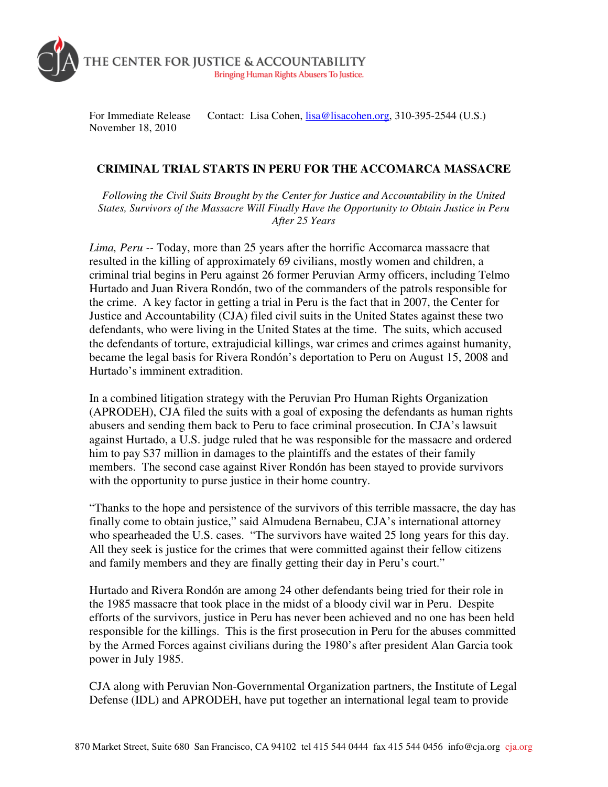

For Immediate Release Contact: Lisa Cohen, lisa@lisacohen.org, 310-395-2544 (U.S.) November 18, 2010

## **CRIMINAL TRIAL STARTS IN PERU FOR THE ACCOMARCA MASSACRE**

*Following the Civil Suits Brought by the Center for Justice and Accountability in the United States, Survivors of the Massacre Will Finally Have the Opportunity to Obtain Justice in Peru After 25 Years* 

*Lima, Peru --* Today, more than 25 years after the horrific Accomarca massacre that resulted in the killing of approximately 69 civilians, mostly women and children, a criminal trial begins in Peru against 26 former Peruvian Army officers, including Telmo Hurtado and Juan Rivera Rondón, two of the commanders of the patrols responsible for the crime. A key factor in getting a trial in Peru is the fact that in 2007, the Center for Justice and Accountability (CJA) filed civil suits in the United States against these two defendants, who were living in the United States at the time. The suits, which accused the defendants of torture, extrajudicial killings, war crimes and crimes against humanity, became the legal basis for Rivera Rondón's deportation to Peru on August 15, 2008 and Hurtado's imminent extradition.

In a combined litigation strategy with the Peruvian Pro Human Rights Organization (APRODEH), CJA filed the suits with a goal of exposing the defendants as human rights abusers and sending them back to Peru to face criminal prosecution. In CJA's lawsuit against Hurtado, a U.S. judge ruled that he was responsible for the massacre and ordered him to pay \$37 million in damages to the plaintiffs and the estates of their family members. The second case against River Rondón has been stayed to provide survivors with the opportunity to purse justice in their home country.

"Thanks to the hope and persistence of the survivors of this terrible massacre, the day has finally come to obtain justice," said Almudena Bernabeu, CJA's international attorney who spearheaded the U.S. cases. "The survivors have waited 25 long years for this day. All they seek is justice for the crimes that were committed against their fellow citizens and family members and they are finally getting their day in Peru's court."

Hurtado and Rivera Rondón are among 24 other defendants being tried for their role in the 1985 massacre that took place in the midst of a bloody civil war in Peru. Despite efforts of the survivors, justice in Peru has never been achieved and no one has been held responsible for the killings. This is the first prosecution in Peru for the abuses committed by the Armed Forces against civilians during the 1980's after president Alan Garcia took power in July 1985.

CJA along with Peruvian Non-Governmental Organization partners, the Institute of Legal Defense (IDL) and APRODEH, have put together an international legal team to provide